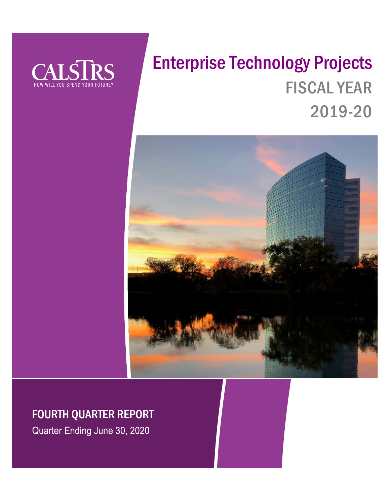

# Enterprise Technology Projects FISCAL YEAR 2019-20



## FOURTH QUARTER REPORT

Quarter Ending June 30, 2020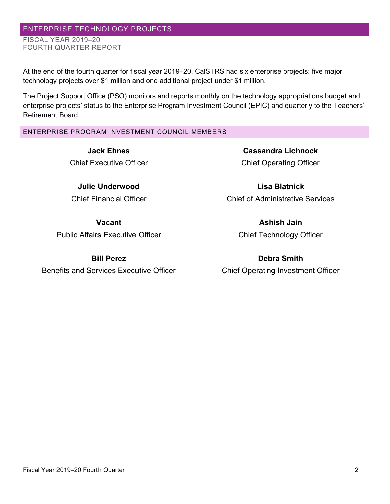**Bill Perez**

Benefits and Services Executive Officer

#### Fiscal Year 2019–20 Fourth Quarter 2

At the end of the fourth quarter for fiscal year 2019–20, CalSTRS had six enterprise projects: five major technology projects over \$1 million and one additional project under \$1 million.

The Project Support Office (PSO) monitors and reports monthly on the technology appropriations budget and enterprise projects' status to the Enterprise Program Investment Council (EPIC) and quarterly to the Teachers' Retirement Board.

#### ENTERPRISE PROGRAM INVESTMENT COUNCIL MEMBERS

**Jack Ehnes** Chief Executive Officer

ENTERPRISE TECHNOLOGY PROJECTS

FISCAL YEAR 2019–20

FOURTH QUARTER REPORT

**Julie Underwood**

Chief Financial Officer

**Vacant** Public Affairs Executive Officer

### **Cassandra Lichnock** Chief Operating Officer

**Lisa Blatnick** Chief of Administrative Services

> **Ashish Jain** Chief Technology Officer

**Debra Smith** Chief Operating Investment Officer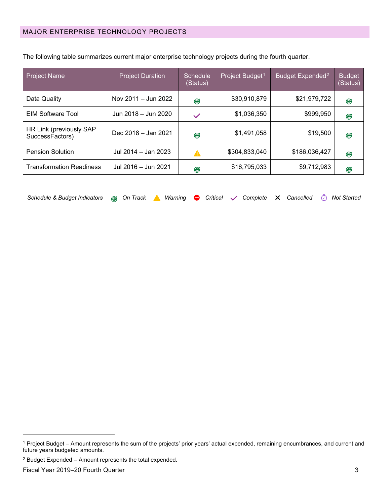| <b>Project Name</b>                        | <b>Project Duration</b> | Schedule<br>(Status) | Project Budget <sup>1</sup> | Budget Expended <sup>2</sup> | <b>Budget</b><br>(Status) |
|--------------------------------------------|-------------------------|----------------------|-----------------------------|------------------------------|---------------------------|
| Data Quality                               | Nov 2011 - Jun 2022     | G                    | \$30,910,879                | \$21,979,722                 | Ø                         |
| <b>EIM Software Tool</b>                   | Jun 2018 - Jun 2020     | $\checkmark$         | \$1,036,350                 | \$999,950                    | Ø                         |
| HR Link (previously SAP<br>SuccessFactors) | Dec 2018 - Jan 2021     | Ø                    | \$1,491,058                 | \$19,500                     | Ø                         |
| <b>Pension Solution</b>                    | Jul 2014 - Jan 2023     | ▲                    | \$304,833,040               | \$186,036,427                | Ø                         |
| <b>Transformation Readiness</b>            | Jul 2016 - Jun 2021     | Ø                    | \$16,795,033                | \$9,712,983                  | Ø                         |

The following table summarizes current major enterprise technology projects during the fourth quarter.

| Schedule & Budget Indicators & On Track A Warning $\bullet$ Critical $\checkmark$ Complete X Cancelled $\check{\odot}$ Not Started |  |  |  |  |  |  |  |  |  |  |  |  |
|------------------------------------------------------------------------------------------------------------------------------------|--|--|--|--|--|--|--|--|--|--|--|--|
|------------------------------------------------------------------------------------------------------------------------------------|--|--|--|--|--|--|--|--|--|--|--|--|

<span id="page-2-0"></span><sup>1</sup> Project Budget – Amount represents the sum of the projects' prior years' actual expended, remaining encumbrances, and current and future years budgeted amounts.

<span id="page-2-1"></span><sup>2</sup> Budget Expended – Amount represents the total expended.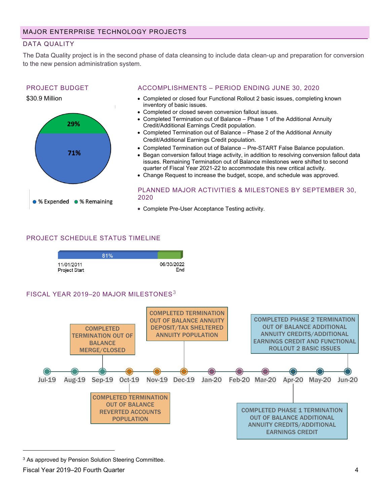#### DATA QUALITY

The Data Quality project is in the second phase of data cleansing to include data clean-up and preparation for conversion to the new pension administration system.

#### PROJECT BUDGET





#### ACCOMPLISHMENTS – PERIOD ENDING JUNE 30, 2020

- Completed or closed four Functional Rollout 2 basic issues, completing known inventory of basic issues.
- Completed or closed seven conversion fallout issues.
- Completed Termination out of Balance Phase 1 of the Additional Annuity Credit/Additional Earnings Credit population.
- Completed Termination out of Balance Phase 2 of the Additional Annuity Credit/Additional Earnings Credit population.
- Completed Termination out of Balance Pre-START False Balance population.
- Began conversion fallout triage activity, in addition to resolving conversion fallout data issues. Remaining Termination out of Balance milestones were shifted to second quarter of Fiscal Year 2021-22 to accommodate this new critical activity.
- Change Request to increase the budget, scope, and schedule was approved.

#### PLANNED MAJOR ACTIVITIES & MILESTONES BY SEPTEMBER 30, 2020

• Complete Pre-User Acceptance Testing activity.

#### PROJECT SCHEDULE STATUS TIMELINE



#### FISCAL YEAR 2019-20 MAJOR MILESTONES<sup>[3](#page-3-0)</sup>



<span id="page-3-0"></span><sup>&</sup>lt;sup>3</sup> As approved by Pension Solution Steering Committee.

#### Fiscal Year 2019–20 Fourth Quarter 4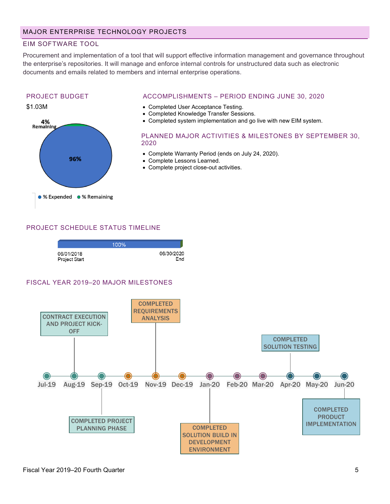#### EIM SOFTWARE TOOL

Procurement and implementation of a tool that will support effective information management and governance throughout the enterprise's repositories. It will manage and enforce internal controls for unstructured data such as electronic documents and emails related to members and internal enterprise operations.

#### PROJECT BUDGET

#### \$1.03M



#### ACCOMPLISHMENTS – PERIOD ENDING JUNE 30, 2020

- Completed User Acceptance Testing.
- Completed Knowledge Transfer Sessions.
- Completed system implementation and go live with new EIM system.

#### PLANNED MAJOR ACTIVITIES & MILESTONES BY SEPTEMBER 30, 2020

- Complete Warranty Period (ends on July 24, 2020).
- Complete Lessons Learned.
- Complete project close-out activities.

#### PROJECT SCHEDULE STATUS TIMELINE



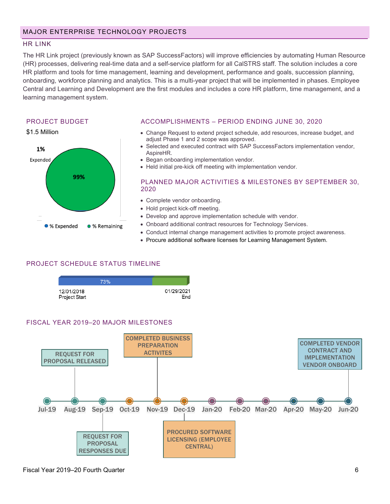#### HR LINK

The HR Link project (previously known as SAP SuccessFactors) will improve efficiencies by automating Human Resource (HR) processes, delivering real-time data and a self-service platform for all CalSTRS staff. The solution includes a core HR platform and tools for time management, learning and development, performance and goals, succession planning, onboarding, workforce planning and analytics. This is a multi-year project that will be implemented in phases. Employee Central and Learning and Development are the first modules and includes a core HR platform, time management, and a learning management system.

#### PROJECT BUDGET



#### ACCOMPLISHMENTS – PERIOD ENDING JUNE 30, 2020

- Change Request to extend project schedule, add resources, increase budget, and adjust Phase 1 and 2 scope was approved.
- Selected and executed contract with SAP SuccessFactors implementation vendor, AspireHR.
- Began onboarding implementation vendor.
- Held initial pre-kick off meeting with implementation vendor.

#### PLANNED MAJOR ACTIVITIES & MILESTONES BY SEPTEMBER 30, 2020

- Complete vendor onboarding.
- Hold project kick-off meeting.
- Develop and approve implementation schedule with vendor.
- Onboard additional contract resources for Technology Services.
- Conduct internal change management activities to promote project awareness.
- Procure additional software licenses for Learning Management System.

#### PROJECT SCHEDULE STATUS TIMELINE

|                             | 73% |                   |
|-----------------------------|-----|-------------------|
| 12/01/2018<br>Project Start |     | 01/29/2021<br>End |

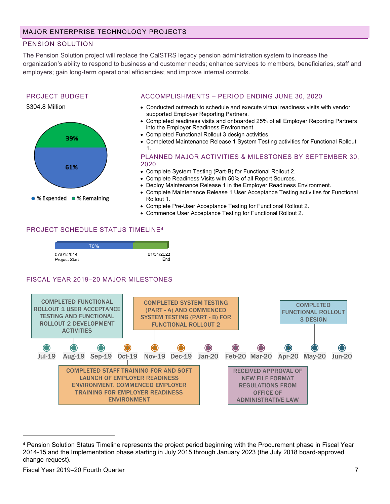#### PENSION SOLUTION

The Pension Solution project will replace the CalSTRS legacy pension administration system to increase the organization's ability to respond to business and customer needs; enhance services to members, beneficiaries, staff and employers; gain long-term operational efficiencies; and improve internal controls.

#### PROJECT BUDGET





#### ACCOMPLISHMENTS – PERIOD ENDING JUNE 30, 2020

- Conducted outreach to schedule and execute virtual readiness visits with vendor supported Employer Reporting Partners.
- Completed readiness visits and onboarded 25% of all Employer Reporting Partners into the Employer Readiness Environment.
- Completed Functional Rollout 3 design activities.
- Completed Maintenance Release 1 System Testing activities for Functional Rollout 1.

PLANNED MAJOR ACTIVITIES & MILESTONES BY SEPTEMBER 30, 2020

- Complete System Testing (Part-B) for Functional Rollout 2.
- Complete Readiness Visits with 50% of all Report Sources.
- Deploy Maintenance Release 1 in the Employer Readiness Environment.
- Complete Maintenance Release 1 User Acceptance Testing activities for Functional Rollout 1.
- Complete Pre-User Acceptance Testing for Functional Rollout 2.
- Commence User Acceptance Testing for Functional Rollout 2.

#### PROJECT SCHEDULE STATUS TIMELINE[4](#page-6-0)

|                             | 70% |                   |
|-----------------------------|-----|-------------------|
| 07/01/2014<br>Project Start |     | 01/31/2023<br>End |



<span id="page-6-0"></span><sup>4</sup> Pension Solution Status Timeline represents the project period beginning with the Procurement phase in Fiscal Year 2014-15 and the Implementation phase starting in July 2015 through January 2023 (the July 2018 board-approved change request).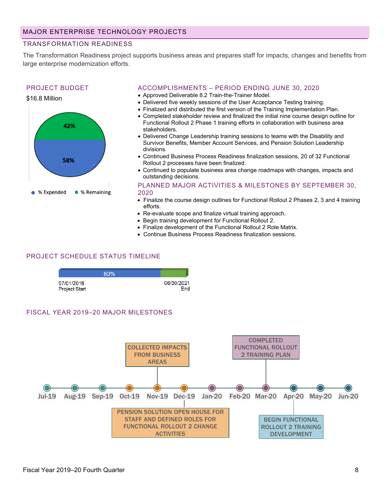#### TRANSFORMATION READINESS

The Transformation Readiness project supports business areas and prepares staff for impacts, changes and benefits from large enterprise modernization efforts.

#### PROJECT BUDGET



#### ACCOMPLISHMENTS – PERIOD ENDING JUNE 30, 2020

- Approved Deliverable 8.2 Train-the-Trainer Model.
- Delivered five weekly sessions of the User Acceptance Testing training.
- Finalized and distributed the first version of the Training Implementation Plan.
- Completed stakeholder review and finalized the initial nine course design outline for Functional Rollout 2 Phase 1 training efforts in collaboration with business area stakeholders.
- Delivered Change Leadership training sessions to teams with the Disability and Survivor Benefits, Member Account Services, and Pension Solution Leadership divisions.
- Continued Business Process Readiness finalization sessions, 20 of 32 Functional Rollout 2 processes have been finalized.
- Continued to populate business area change roadmaps with changes, impacts and outstanding decisions.

#### PLANNED MAJOR ACTIVITIES & MILESTONES BY SEPTEMBER 30, 2020

- Finalize the course design outlines for Functional Rollout 2 Phases 2, 3 and 4 training efforts.
- Re-evaluate scope and finalize virtual training approach.
- Begin training development for Functional Rollout 2.
- Finalize development of the Functional Rollout 2 Role Matrix.
- Continue Business Process Readiness finalization sessions.

#### PROJECT SCHEDULE STATUS TIMELINE

|                             | 80% |                   |
|-----------------------------|-----|-------------------|
| 07/01/2016<br>Project Start |     | 06/30/2021<br>End |